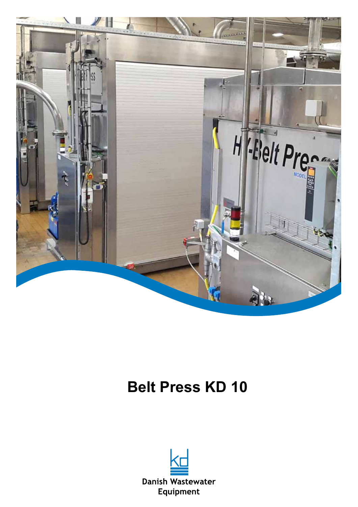

# **Belt Press KD 10**

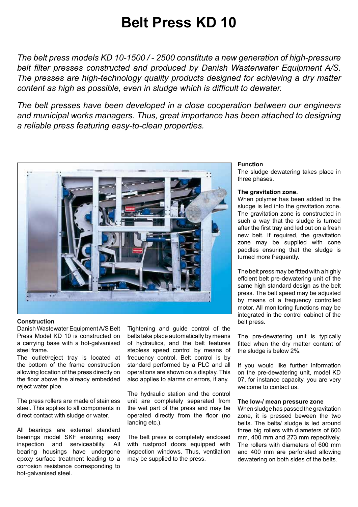## **Belt Press KD 10**

*The belt press models KD 10-1500 / - 2500 constitute a new generation of high-pressure belt filter presses constructed and produced by Danish Wasterwater Equipment A/S. The presses are high-technology quality products designed for achieving a dry matter content as high as possible, even in sludge which is difficult to dewater.*

*The belt presses have been developed in a close cooperation between our engineers and municipal works managers. Thus, great importance has been attached to designing a reliable press featuring easy-to-clean properties.*



## **Construction**

Danish Wastewater Equipment A/S Belt Press Model KD 10 is constructed on a carrying base with a hot-galvanised steel frame.

The outlet/reject tray is located at the bottom of the frame construction allowing location of the press directly on the floor above the already embedded reject water pipe.

The press rollers are made of stainless steel. This applies to all components in direct contact with sludge or water.

All bearings are external standard bearings model SKF ensuring easy inspection and serviceability. All bearing housings have undergone epoxy surface treatment leading to a corrosion resistance corresponding to hot-galvanised steel.

Tightening and guide control of the belts take place automatically by means of hydraulics, and the belt features stepless speed control by means of frequency control. Belt control is by standard performed by a PLC and all operations are shown on a display. This also applies to alarms or errors, if any.

The hydraulic station and the control unit are completely separated from the wet part of the press and may be operated directly from the floor (no landing etc.).

The belt press is completely enclosed with rustproof doors equipped with inspection windows. Thus, ventilation may be supplied to the press.

## **Function**

The sludge dewatering takes place in three phases.

## **The gravitation zone.**

When polymer has been added to the sludge is led into the gravitation zone. The gravitation zone is constructed in such a way that the sludge is turned after the first tray and led out on a fresh new belt. If required, the gravitation zone may be supplied with cone paddles ensuring that the sludge is turned more frequently.

The belt press may be fitted with a highly effcient belt pre-dewatering unit of the same high standard design as the belt press. The belt speed may be adjusted by means of a frequency controlled motor. All monitoring functions may be integrated in the control cabinet of the belt press.

The pre-dewatering unit is typically fitted when the dry matter content of the sludge is below 2%.

If you would like further information on the pre-dewatering unit, model KD 07, for instance capacity, you are very welcome to contact us.

## **The low-/ mean pressure zone**

When sludge has passed the gravitation zone, it is pressed beween the two belts. The belts/ sludge is led around three big rollers with diameters of 600 mm, 400 mm and 273 mm repectively. The rollers with diameters of 600 mm and 400 mm are perforated allowing dewatering on both sides of the belts.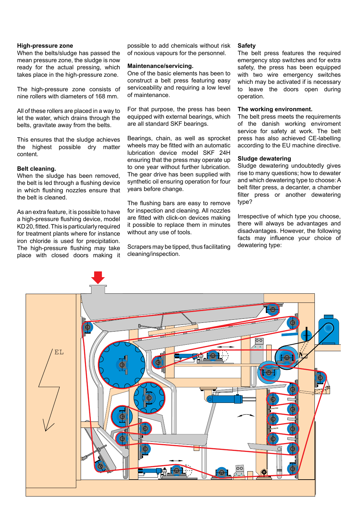## **High-pressure zone**

When the belts/sludge has passed the mean pressure zone, the sludge is now ready for the actual pressing, which takes place in the high-pressure zone.

The high-pressure zone consists of nine rollers with diameters of 168 mm.

All of these rollers are placed in a way to let the water, which drains through the belts, gravitate away from the belts.

This ensures that the sludge achieves the highest possible dry matter content.

## **Belt cleaning.**

When the sludge has been removed. the belt is led through a flushing device in which flushing nozzles ensure that the belt is cleaned.

As an extra feature, it is possible to have a high-pressure flushing device, model KD 20, fitted. This is particularly required for treatment plants where for instance iron chloride is used for precipitation. The high-pressure flushing may take place with closed doors making it possible to add chemicals without risk of noxious vapours for the personnel.

## **Maintenance/servicing.**

One of the basic elements has been to construct a belt press featuring easy serviceability and requiring a low level of maintenance.

For that purpose, the press has been equipped with external bearings, which are all standard SKF bearings.

Bearings, chain, as well as sprocket wheels may be fitted with an automatic lubrication device model SKF 24H ensuring that the press may operate up to one year without further lubrication. The gear drive has been supplied with synthetic oil ensuring operation for four years before change.

The flushing bars are easy to remove for inspection and cleaning. All nozzles are fitted with click-on devices making it possible to replace them in minutes without any use of tools.

Scrapers may be tipped, thus facilitating cleaning/inspection.

#### **Safety**

The belt press features the required emergency stop switches and for extra safety, the press has been equipped with two wire emergency switches which may be activated if is necessary to leave the doors open during operation.

## **The working environment.**

The belt press meets the requirements of the danish working enviroment service for safety at work. The belt press has also achieved CE-labelling according to the EU machine directive.

## **Sludge dewatering**

Sludge dewatering undoubtedly gives rise to many questions; how to dewater and which dewatering type to choose: A belt filter press, a decanter, a chamber filter press or another dewatering type?

Irrespective of which type you choose, there will always be advantages and disadvantages. However, the following facts may influence your choice of dewatering type:

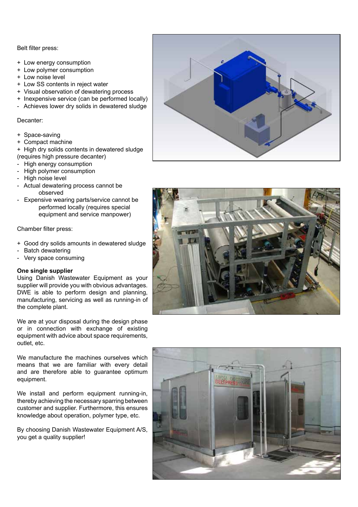Belt filter press:

- + Low energy consumption
- + Low polymer consumption
- + Low noise level
- + Low SS contents in reject water
- + Visual observation of dewatering process
- + Inexpensive service (can be performed locally)
- Achieves lower dry solids in dewatered sludge

Decanter:

- + Space-saving
- + Compact machine
- + High dry solids contents in dewatered sludge (requires high pressure decanter)
- High energy consumption
- High polymer consumption
- High noise level
- Actual dewatering process cannot be observed
- Expensive wearing parts/service cannot be performed locally (requires special equipment and service manpower)

Chamber filter press:

- + Good dry solids amounts in dewatered sludge
- Batch dewatering
- Very space consuming

## **One single supplier**

Using Danish Wastewater Equipment as your supplier will provide you with obvious advantages. DWE is able to perform design and planning, manufacturing, servicing as well as running-in of the complete plant.

We are at your disposal during the design phase or in connection with exchange of existing equipment with advice about space requirements, outlet, etc.

We manufacture the machines ourselves which means that we are familiar with every detail and are therefore able to guarantee optimum equipment.

We install and perform equipment running-in, thereby achieving the necessary sparring between customer and supplier. Furthermore, this ensures knowledge about operation, polymer type, etc.

By choosing Danish Wastewater Equipment A/S, you get a quality supplier!





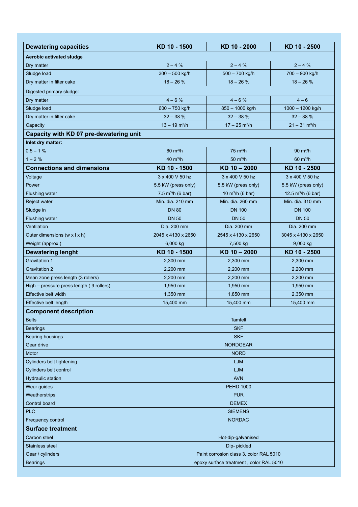| <b>Dewatering capacities</b>             | KD 10 - 1500                            | KD 10 - 2000                | KD 10 - 2500                |
|------------------------------------------|-----------------------------------------|-----------------------------|-----------------------------|
| Aerobic activated sludge                 |                                         |                             |                             |
| Dry matter                               | $2 - 4%$                                | $2 - 4%$                    | $2 - 4%$                    |
| Sludge load                              | $300 - 500$ kg/h                        | 500 - 700 kg/h              | 700 - 900 kg/h              |
| Dry matter in filter cake                | $18 - 26%$                              | $18 - 26%$                  | $18 - 26%$                  |
| Digested primary sludge:                 |                                         |                             |                             |
| Dry matter                               | $4 - 6%$                                | $4 - 6%$                    | $4 - 6$                     |
| Sludge load                              | $600 - 750$ kg/h                        | 850 - 1000 kg/h             | 1000 - 1200 kg/h            |
| Dry matter in filter cake                | $32 - 38%$                              | $32 - 38%$                  | $32 - 38%$                  |
| Capacity                                 | $13 - 19$ m <sup>3</sup> /h             | $17 - 25$ m <sup>3</sup> /h | $21 - 31$ m <sup>3</sup> /h |
| Capacity with KD 07 pre-dewatering unit  |                                         |                             |                             |
| Inlet dry matter:                        |                                         |                             |                             |
| $0.5 - 1%$                               | $60 \text{ m}^3/h$                      | $75 \text{ m}^3/h$          | 90 $m^3/h$                  |
| $1 - 2%$                                 | 40 $m^3/h$                              | $50 \text{ m}^3/h$          | $60 \text{ m}^3/h$          |
| <b>Connections and dimensions</b>        | KD 10 - 1500                            | KD 10 - 2000                | KD 10 - 2500                |
| Voltage                                  | 3 x 400 V 50 hz                         | 3 x 400 V 50 hz             | 3 x 400 V 50 hz             |
| Power                                    | 5.5 kW (press only)                     | 5.5 kW (press only)         | 5.5 kW (press only)         |
| <b>Flushing water</b>                    | 7.5 $m^3/h$ (6 bar)                     | 10 $m^3/h$ (6 bar)          | 12.5 $m^3/h$ (6 bar)        |
| Reject water                             | Min. dia. 210 mm                        | Min. dia. 260 mm            | Min. dia. 310 mm            |
| Sludge in                                | <b>DN 80</b>                            | <b>DN 100</b>               | <b>DN 100</b>               |
| Flushing water                           | <b>DN 50</b>                            | <b>DN 50</b>                | <b>DN 50</b>                |
| Ventilation                              | Dia. 200 mm                             | Dia. 200 mm                 | Dia. 200 mm                 |
| Outer dimensions (w x l x h)             | 2045 x 4130 x 2650                      | 2545 x 4130 x 2650          | 3045 x 4130 x 2650          |
| Weight (approx.)                         | 6,000 kg                                | 7,500 kg                    | 9,000 kg                    |
| <b>Dewatering lenght</b>                 | KD 10 - 1500                            | KD 10 - 2000                | KD 10 - 2500                |
| <b>Gravitation 1</b>                     | 2,300 mm                                | 2,300 mm                    | 2,300 mm                    |
| <b>Gravitation 2</b>                     | 2,200 mm                                | 2,200 mm                    | 2,200 mm                    |
| Mean zone press length (3 rollers)       | 2,200 mm                                | 2,200 mm                    | 2,200 mm                    |
| High - pressure press length (9 rollers) | 1,950 mm                                | 1,950 mm                    | 1,950 mm                    |
| <b>Effective belt width</b>              | 1,350 mm                                | 1,850 mm                    | 2,350 mm                    |
| Effective belt length                    | 15,400 mm                               | 15,400 mm                   | 15,400 mm                   |
| <b>Component description</b>             |                                         |                             |                             |
| <b>Belts</b>                             | <b>Tamfelt</b>                          |                             |                             |
| <b>Bearings</b>                          | <b>SKF</b>                              |                             |                             |
| <b>Bearing housings</b>                  | <b>SKF</b>                              |                             |                             |
| Gear drive                               | <b>NORDGEAR</b>                         |                             |                             |
| Motor                                    | <b>NORD</b>                             |                             |                             |
| Cylinders belt tightening                | <b>LJM</b>                              |                             |                             |
| Cylinders belt control                   | LJM                                     |                             |                             |
| <b>Hydraulic station</b>                 | <b>AVN</b>                              |                             |                             |
| Wear guides                              | <b>PEHD 1000</b>                        |                             |                             |
| Weatherstrips                            | <b>PUR</b>                              |                             |                             |
| Control board                            | <b>DEMEX</b>                            |                             |                             |
| <b>PLC</b>                               | <b>SIEMENS</b>                          |                             |                             |
| Frequency control                        | <b>NORDAC</b>                           |                             |                             |
| <b>Surface treatment</b>                 |                                         |                             |                             |
| Carbon steel                             | Hot-dip-galvanised                      |                             |                             |
| Stainless steel                          | Dip-pickled                             |                             |                             |
| Gear / cylinders                         | Paint corrosion class 3, color RAL 5010 |                             |                             |
| <b>Bearings</b>                          | epoxy surface treatment, color RAL 5010 |                             |                             |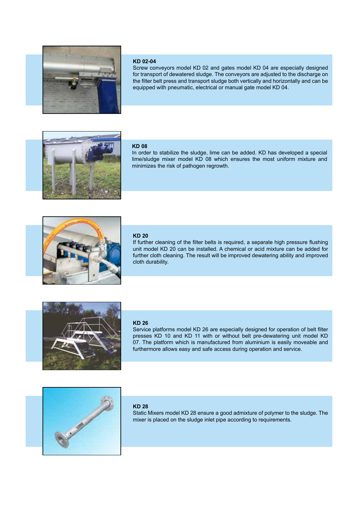

## **KD 02-04**

Screw conveyors model KD 02 and gates model KD 04 are especially designed for transport of dewatered sludge. The conveyors are adjusted to the discharge on the filter belt press and transport sludge both vertically and horizontally and can be equipped with pneumatic, electrical or manual gate model KD 04.



## **KD 08**

In order to stabilize the sludge, lime can be added. KD has developed a special lime/sludge mixer model KD 08 which ensures the most uniform mixture and minimizes the risk of pathogen regrowth.



## **KD 20**

If further cleaning of the filter belts is required, a separate high pressure flushing unit model KD 20 can be installed. A chemical or acid mixture can be added for further cloth cleaning. The result will be improved dewatering ability and improved cloth durability.



## **KD 26**

Service platforms model KD 26 are especially designed for operation of belt filter presses KD 10 and KD 11 with or without belt pre-dewatering unit model KD 07. The platform which is manufactured from aluminium is easily moveable and furthermore allows easy and safe access during operation and service.



## **KD 28**

Static Mixers model KD 28 ensure a good admixture of polymer to the sludge. The mixer is placed on the sludge inlet pipe according to requirements.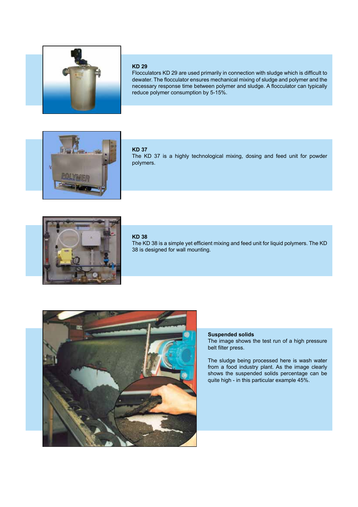

### **KD 29**

Flocculators KD 29 are used primarily in connection with sludge which is difficult to dewater. The flocculator ensures mechanical mixing of sludge and polymer and the necessary response time between polymer and sludge. A flocculator can typically reduce polymer consumption by 5-15%.



## **KD 37**

The KD 37 is a highly technological mixing, dosing and feed unit for powder polymers.



## **KD 38**

The KD 38 is a simple yet efficient mixing and feed unit for liquid polymers. The KD 38 is designed for wall mounting.



## **Suspended solids** The image shows the test run of a high pressure belt filter press.

The sludge being processed here is wash water from a food industry plant. As the image clearly shows the suspended solids percentage can be quite high - in this particular example 45%.